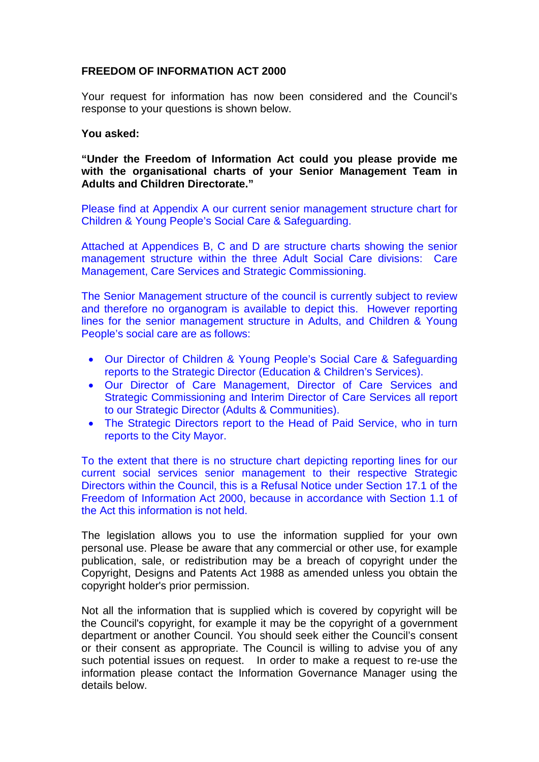## **FREEDOM OF INFORMATION ACT 2000**

Your request for information has now been considered and the Council's response to your questions is shown below.

## **You asked:**

**"Under the Freedom of Information Act could you please provide me with the organisational charts of your Senior Management Team in Adults and Children Directorate."**

Please find at Appendix A our current senior management structure chart for Children & Young People's Social Care & Safeguarding.

Attached at Appendices B, C and D are structure charts showing the senior management structure within the three Adult Social Care divisions: Care Management, Care Services and Strategic Commissioning.

The Senior Management structure of the council is currently subject to review and therefore no organogram is available to depict this. However reporting lines for the senior management structure in Adults, and Children & Young People's social care are as follows:

- Our Director of Children & Young People's Social Care & Safeguarding reports to the Strategic Director (Education & Children's Services).
- Our Director of Care Management, Director of Care Services and Strategic Commissioning and Interim Director of Care Services all report to our Strategic Director (Adults & Communities).
- The Strategic Directors report to the Head of Paid Service, who in turn reports to the City Mayor.

To the extent that there is no structure chart depicting reporting lines for our current social services senior management to their respective Strategic Directors within the Council, this is a Refusal Notice under Section 17.1 of the Freedom of Information Act 2000, because in accordance with Section 1.1 of the Act this information is not held.

The legislation allows you to use the information supplied for your own personal use. Please be aware that any commercial or other use, for example publication, sale, or redistribution may be a breach of copyright under the Copyright, Designs and Patents Act 1988 as amended unless you obtain the copyright holder's prior permission.

Not all the information that is supplied which is covered by copyright will be the Council's copyright, for example it may be the copyright of a government department or another Council. You should seek either the Council's consent or their consent as appropriate. The Council is willing to advise you of any such potential issues on request. In order to make a request to re-use the information please contact the Information Governance Manager using the details below.